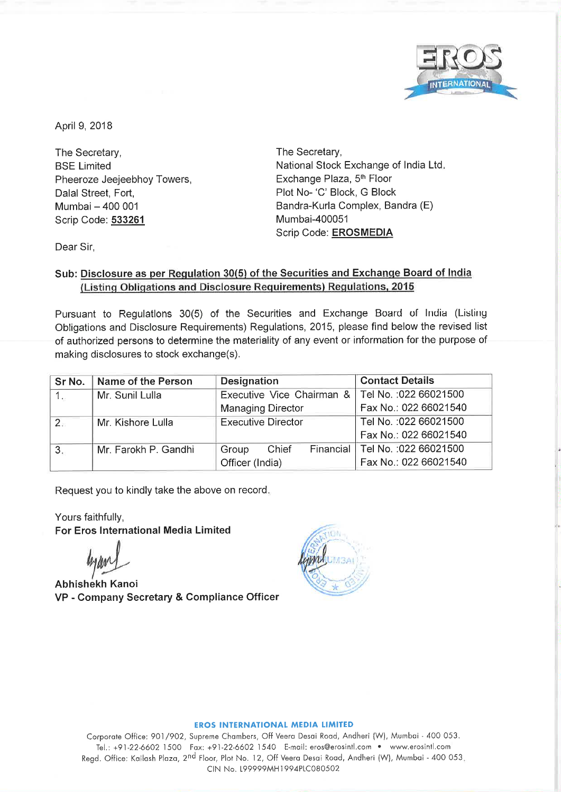

~.

April 9, 2018

The Secretary, BSE Limited Pheeroze Jeejeebhoy Towers, Dalal Street, Fort, Mumbai - 400 001 Scrip Code: **533261** 

The Secretary, National Stock Exchange of India Ltd. Exchange Plaza, 5<sup>th</sup> Floor Plot No- 'C' Block, G Block Bandra-Kurla Complex, Sandra (E) Mumbai-400051 Scrip Code: **EROSMEDIA** 

Dear Sir,

## **Sub: Disclosure as per Regulation 30(5) of the Securities and Exchange Board of India (Listing Obligations and Disclosure Requirements) Regulations, 2015**

Pursuant to Regulations 30(5) of the Securities and Exchange Board of India (Listing Obligations and Disclosure Requirements) Regulations, 2015, please find below the revised list of authorized persons to determine the materiality of any event or information for the purpose of making disclosures to stock exchange(s).

| Sr No. | Name of the Person   | <b>Designation</b>          | <b>Contact Details</b> |
|--------|----------------------|-----------------------------|------------------------|
| $1 -$  | Mr. Sunil Lulla      | Executive Vice Chairman &   | Tel No.: 022 66021500  |
|        |                      | <b>Managing Director</b>    | Fax No.: 022 66021540  |
| 2.7    | Mr. Kishore Lulla    | <b>Executive Director</b>   | Tel No.: 022 66021500  |
|        |                      |                             | Fax No.: 022 66021540  |
| 3.     | Mr. Farokh P. Gandhi | Financial<br>Chief<br>Group | Tel No.: 022 66021500  |
|        |                      | Officer (India)             | Fax No.: 022 66021540  |

Request you to kindly take the above on record.

Yours faithfully, **For Eros International Media Limited** 

hyan1

**Abhishekh Kanoi VP** - **Company Secretary** & **Compliance Officer** 



#### **EROS INTERNATIONAL MEDIA LIMITED**

Corporate Office: 901/902, Supreme Chambers, Off Veera Desai Road, Andheri (W), Mumbai - 400 053. Tel.: +91-22-6602 1500 Fax: +91-22-6602 1540 E-mail: eros@erosintl.com • www.erosintl.com Regd. Office: Kailash Plaza, 2nd Floor, Plot No. 12, Off Veera Desai Road, Andheri (W), Mumbai - <sup>400</sup>053. CIN No. L99999MH1994PLC080502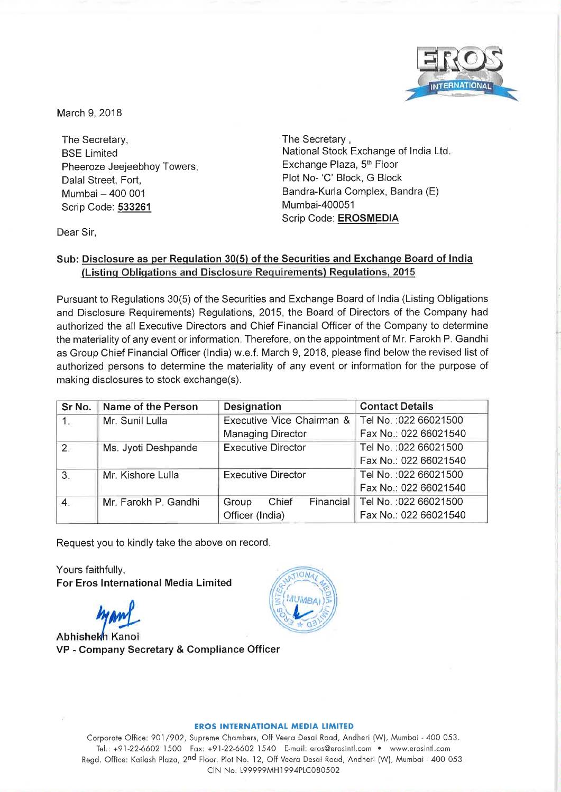

March 9, 2018

The Secretary, **BSE Limited** Pheeroze Jeejeebhoy Towers, Dalal Street, Fort, Mumbai - 400 001 Scrip Code: 533261

The Secretary, National Stock Exchange of India Ltd. Exchange Plaza, 5<sup>th</sup> Floor Plot No- 'C' Block, G Block Bandra-Kurla Complex, Bandra (E) Mumbai-400051 Scrip Code: EROSMEDIA

Dear Sir,

## Sub: Disclosure as per Regulation 30(5) of the Securities and Exchange Board of India (Listing Obligations and Disclosure Requirements) Regulations, 2015

Pursuant to Regulations 30(5) of the Securities and Exchange Board of India (Listing Obligations and Disclosure Requirements) Regulations, 2015, the Board of Directors of the Company had authorized the all Executive Directors and Chief Financial Officer of the Company to determine the materiality of any event or information. Therefore, on the appointment of Mr. Farokh P. Gandhi as Group Chief Financial Officer (India) w.e.f. March 9, 2018, please find below the revised list of authorized persons to determine the materiality of any event or information for the purpose of making disclosures to stock exchange(s).

| Sr No. | Name of the Person   | Designation                 | <b>Contact Details</b> |
|--------|----------------------|-----------------------------|------------------------|
| 1.     | Mr. Sunil Lulla      | Executive Vice Chairman &   | Tel No.: 022 66021500  |
|        |                      | <b>Managing Director</b>    | Fax No.: 022 66021540  |
| $2 -$  | Ms. Jyoti Deshpande  | <b>Executive Director</b>   | Tel No. : 022 66021500 |
|        |                      |                             | Fax No.: 022 66021540  |
| 3.     | Mr. Kishore Lulla    | <b>Executive Director</b>   | Tel No.: 022 66021500  |
|        |                      |                             | Fax No.: 022 66021540  |
| 4.     | Mr. Farokh P. Gandhi | Financial<br>Chief<br>Group | Tel No.: 022 66021500  |
|        |                      | Officer (India)             | Fax No.: 022 66021540  |

Request you to kindly take the above on record.

Yours faithfully, **For Eros International Media Limited** 

Abhishekh Kanoi VP - Company Secretary & Compliance Officer



### **EROS INTERNATIONAL MEDIA LIMITED**

Corporate Office: 901/902, Supreme Chambers, Off Veera Desai Road, Andheri (W), Mumbai - 400 053. Tel.: +91-22-6602 1500 Fax: +91-22-6602 1540 E-mail: eros@erosintl.com • www.erosintl.com Regd. Office: Kailash Plaza, 2<sup>nd</sup> Floor, Plot No. 12, Off Veera Desai Road, Andheri (W), Mumbai - 400 053. CIN No. 199999MH1994PLC080502